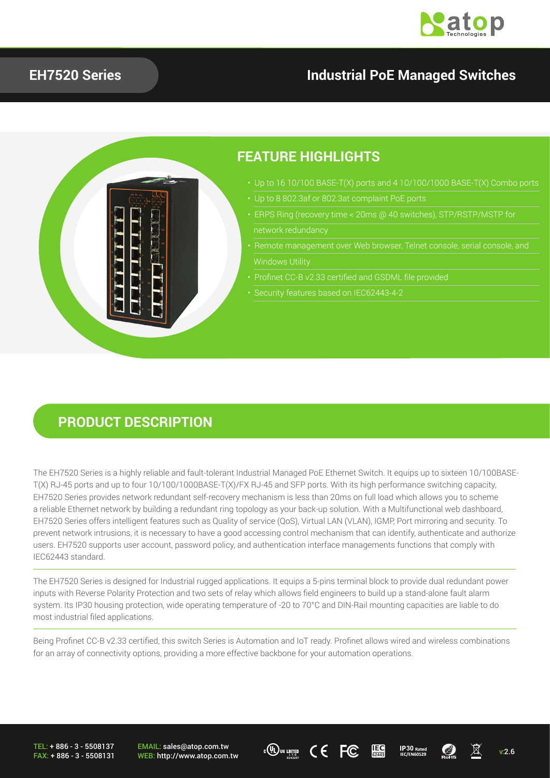

### **EH7520 Series Industrial PoE Managed Switches**



#### **PRODUCT DESCRIPTION**

The EH7520 Series is a highly reliable and fault-tolerant Industrial Managed PoE Ethernet Switch. It equips up to sixteen 10/100BASE-T(X) RJ-45 ports and up to four 10/100/1000BASE-T(X)/FX RJ-45 and SFP ports. With its high performance switching capacity, EH7520 Series provides network redundant self-recovery mechanism is less than 20ms on full load which allows you to scheme a reliable Ethernet network by building a redundant ring topology as your back-up solution. With a Multifunctional web dashboard, EH7520 Series offers intelligent features such as Quality of service (QoS), Virtual LAN (VLAN), IGMP, Port mirroring and security. To prevent network intrusions, it is necessary to have a good accessing control mechanism that can identify, authenticate and authorize users. EH7520 supports user account, password policy, and authentication interface managements functions that comply with IEC62443 standard.

The EH7520 Series is designed for Industrial rugged applications. It equips a 5-pins terminal block to provide dual redundant power inputs with Reverse Polarity Protection and two sets of relay which allows field engineers to build up a stand-alone fault alarm system. Its IP30 housing protection, wide operating temperature of -20 to 70°C and DIN-Rail mounting capacities are liable to do most industrial filed applications.

Being Profinet CC-B v2.33 certified, this switch Series is Automation and IoT ready. Profinet allows wired and wireless combinations for an array of connectivity options, providing a more effective backbone for your automation operations.

TEL: + 886 - 3 - 5508137 FAX: + 886 - 3 - 5508131 EMAIL: sales@atop.com.tw WEB: http://www.atop.com.tw





**30**

**IEC 62443**

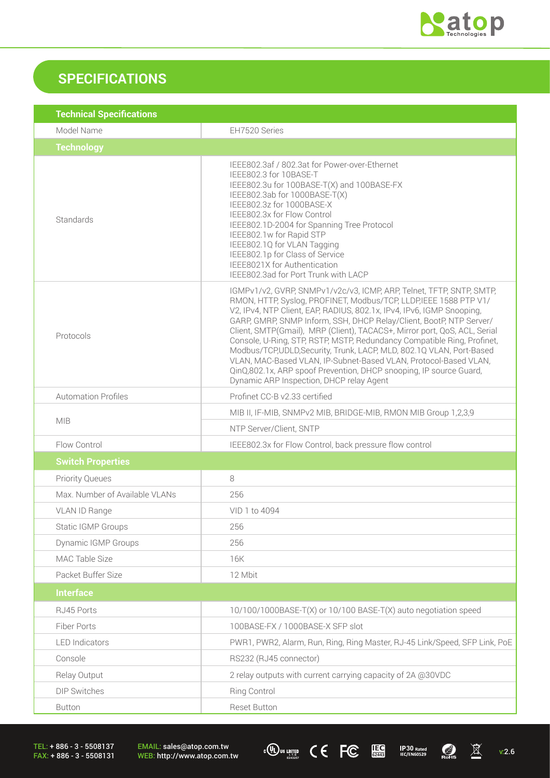

## **SPECIFICATIONS**

| Model Name<br>EH7520 Series<br><b>Technology</b><br>IEEE802.3af / 802.3at for Power-over-Ethernet<br>IEEE802.3 for 10BASE-T<br>IEEE802.3u for 100BASE-T(X) and 100BASE-FX<br>IEEE802.3ab for 1000BASE-T(X)<br>IEEE802.3z for 1000BASE-X<br>IEEE802.3x for Flow Control<br>Standards<br>IEEE802.1D-2004 for Spanning Tree Protocol<br>IEEE802.1w for Rapid STP<br>IEEE802.1Q for VLAN Tagging<br>IEEE802.1p for Class of Service<br>IEEE8021X for Authentication<br>IEEE802.3ad for Port Trunk with LACP<br>IGMPv1/v2, GVRP, SNMPv1/v2c/v3, ICMP, ARP, Telnet, TFTP, SNTP, SMTP,<br>RMON, HTTP, Syslog, PROFINET, Modbus/TCP, LLDP, IEEE 1588 PTP V1/<br>V2, IPv4, NTP Client, EAP, RADIUS, 802.1x, IPv4, IPv6, IGMP Snooping,<br>GARP, GMRP, SNMP Inform, SSH, DHCP Relay/Client, BootP, NTP Server/<br>Client, SMTP(Gmail), MRP (Client), TACACS+, Mirror port, QoS, ACL, Serial<br>Protocols<br>Console, U-Ring, STP, RSTP, MSTP, Redundancy Compatible Ring, Profinet,<br>Modbus/TCP,UDLD,Security, Trunk, LACP, MLD, 802.1Q VLAN, Port-Based<br>VLAN, MAC-Based VLAN, IP-Subnet-Based VLAN, Protocol-Based VLAN, |
|----------------------------------------------------------------------------------------------------------------------------------------------------------------------------------------------------------------------------------------------------------------------------------------------------------------------------------------------------------------------------------------------------------------------------------------------------------------------------------------------------------------------------------------------------------------------------------------------------------------------------------------------------------------------------------------------------------------------------------------------------------------------------------------------------------------------------------------------------------------------------------------------------------------------------------------------------------------------------------------------------------------------------------------------------------------------------------------------------------------------|
|                                                                                                                                                                                                                                                                                                                                                                                                                                                                                                                                                                                                                                                                                                                                                                                                                                                                                                                                                                                                                                                                                                                      |
|                                                                                                                                                                                                                                                                                                                                                                                                                                                                                                                                                                                                                                                                                                                                                                                                                                                                                                                                                                                                                                                                                                                      |
|                                                                                                                                                                                                                                                                                                                                                                                                                                                                                                                                                                                                                                                                                                                                                                                                                                                                                                                                                                                                                                                                                                                      |
| QinQ,802.1x, ARP spoof Prevention, DHCP snooping, IP source Guard,<br>Dynamic ARP Inspection, DHCP relay Agent                                                                                                                                                                                                                                                                                                                                                                                                                                                                                                                                                                                                                                                                                                                                                                                                                                                                                                                                                                                                       |
| <b>Automation Profiles</b><br>Profinet CC-B v2.33 certified                                                                                                                                                                                                                                                                                                                                                                                                                                                                                                                                                                                                                                                                                                                                                                                                                                                                                                                                                                                                                                                          |
| MIB II, IF-MIB, SNMPv2 MIB, BRIDGE-MIB, RMON MIB Group 1,2,3,9                                                                                                                                                                                                                                                                                                                                                                                                                                                                                                                                                                                                                                                                                                                                                                                                                                                                                                                                                                                                                                                       |
| <b>MIB</b><br>NTP Server/Client, SNTP                                                                                                                                                                                                                                                                                                                                                                                                                                                                                                                                                                                                                                                                                                                                                                                                                                                                                                                                                                                                                                                                                |
| Flow Control<br>IEEE802.3x for Flow Control, back pressure flow control                                                                                                                                                                                                                                                                                                                                                                                                                                                                                                                                                                                                                                                                                                                                                                                                                                                                                                                                                                                                                                              |
| <b>Switch Properties</b>                                                                                                                                                                                                                                                                                                                                                                                                                                                                                                                                                                                                                                                                                                                                                                                                                                                                                                                                                                                                                                                                                             |
| <b>Priority Queues</b><br>8                                                                                                                                                                                                                                                                                                                                                                                                                                                                                                                                                                                                                                                                                                                                                                                                                                                                                                                                                                                                                                                                                          |
| Max. Number of Available VLANs<br>256                                                                                                                                                                                                                                                                                                                                                                                                                                                                                                                                                                                                                                                                                                                                                                                                                                                                                                                                                                                                                                                                                |
| VID 1 to 4094<br>VLAN ID Range                                                                                                                                                                                                                                                                                                                                                                                                                                                                                                                                                                                                                                                                                                                                                                                                                                                                                                                                                                                                                                                                                       |
| 256<br>Static IGMP Groups                                                                                                                                                                                                                                                                                                                                                                                                                                                                                                                                                                                                                                                                                                                                                                                                                                                                                                                                                                                                                                                                                            |
| 256<br><b>Dynamic IGMP Groups</b>                                                                                                                                                                                                                                                                                                                                                                                                                                                                                                                                                                                                                                                                                                                                                                                                                                                                                                                                                                                                                                                                                    |
| MAC Table Size<br>16K                                                                                                                                                                                                                                                                                                                                                                                                                                                                                                                                                                                                                                                                                                                                                                                                                                                                                                                                                                                                                                                                                                |
| 12 Mbit<br>Packet Buffer Size                                                                                                                                                                                                                                                                                                                                                                                                                                                                                                                                                                                                                                                                                                                                                                                                                                                                                                                                                                                                                                                                                        |
| <b>Interface</b>                                                                                                                                                                                                                                                                                                                                                                                                                                                                                                                                                                                                                                                                                                                                                                                                                                                                                                                                                                                                                                                                                                     |
| RJ45 Ports<br>10/100/1000BASE-T(X) or 10/100 BASE-T(X) auto negotiation speed                                                                                                                                                                                                                                                                                                                                                                                                                                                                                                                                                                                                                                                                                                                                                                                                                                                                                                                                                                                                                                        |
| Fiber Ports<br>100BASE-FX / 1000BASE-X SFP slot                                                                                                                                                                                                                                                                                                                                                                                                                                                                                                                                                                                                                                                                                                                                                                                                                                                                                                                                                                                                                                                                      |
| <b>LED</b> Indicators<br>PWR1, PWR2, Alarm, Run, Ring, Ring Master, RJ-45 Link/Speed, SFP Link, PoE                                                                                                                                                                                                                                                                                                                                                                                                                                                                                                                                                                                                                                                                                                                                                                                                                                                                                                                                                                                                                  |
| Console<br>RS232 (RJ45 connector)                                                                                                                                                                                                                                                                                                                                                                                                                                                                                                                                                                                                                                                                                                                                                                                                                                                                                                                                                                                                                                                                                    |
| 2 relay outputs with current carrying capacity of 2A @30VDC<br>Relay Output                                                                                                                                                                                                                                                                                                                                                                                                                                                                                                                                                                                                                                                                                                                                                                                                                                                                                                                                                                                                                                          |
| <b>Ring Control</b><br><b>DIP Switches</b>                                                                                                                                                                                                                                                                                                                                                                                                                                                                                                                                                                                                                                                                                                                                                                                                                                                                                                                                                                                                                                                                           |
| <b>Reset Button</b><br><b>Button</b>                                                                                                                                                                                                                                                                                                                                                                                                                                                                                                                                                                                                                                                                                                                                                                                                                                                                                                                                                                                                                                                                                 |

TEL: + 886 - 3 - 5508137 FAX: + 886 - 3 - 5508131

EMAIL: sales@atop.com.tw WEB: http://www.atop.com.tw



v:2.6

**1P30** Rated<br>IEC/EN60529

 $\bigcirc$ <sub>RoHs</sub>

 $\frac{\mathbb{X}}{2}$ 

**IEC 62443**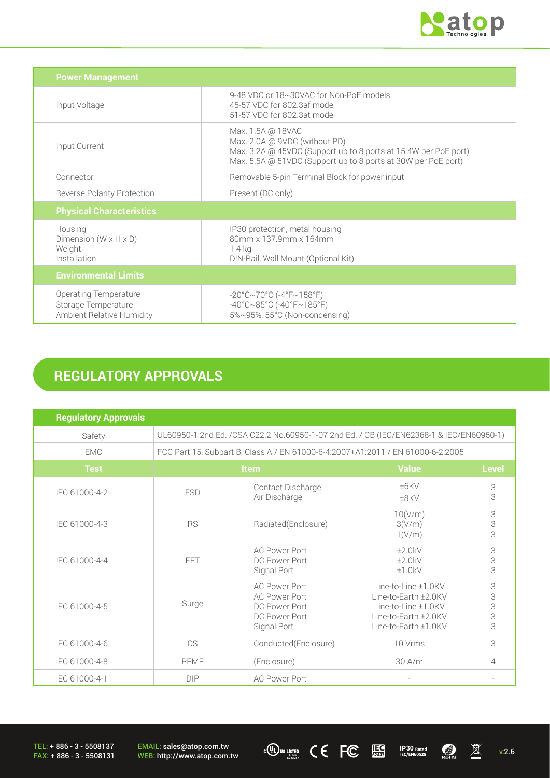

v:2.6

 $\overline{\mathbb{X}}$ 

 $\frac{1}{\sqrt{2}}$ 

**1P30** Rated<br>IEC/EN60529

**IEC 62443**

| <b>Power Management</b>                                                                 |                                                                                                                                                                                        |
|-----------------------------------------------------------------------------------------|----------------------------------------------------------------------------------------------------------------------------------------------------------------------------------------|
| Input Voltage                                                                           | 9-48 VDC or 18~30VAC for Non-PoE models<br>45-57 VDC for 802.3af mode<br>51-57 VDC for 802.3at mode                                                                                    |
| Input Current                                                                           | Max. 1.5A @ 18VAC<br>Max. 2.0A @ 9VDC (without PD)<br>Max. 3.2A @ 45VDC (Support up to 8 ports at 15.4W per PoE port)<br>Max. 5.5A @ 51VDC (Support up to 8 ports at 30W per PoE port) |
| Connector                                                                               | Removable 5-pin Terminal Block for power input                                                                                                                                         |
| <b>Reverse Polarity Protection</b>                                                      | Present (DC only)                                                                                                                                                                      |
| <b>Physical Characteristics</b>                                                         |                                                                                                                                                                                        |
| Housing<br>Dimension ( $W \times H \times D$ )<br>Weight<br>Installation                | IP30 protection, metal housing<br>80mm x 137.9mm x 164mm<br>1.4 kg<br>DIN-Rail, Wall Mount (Optional Kit)                                                                              |
| <b>Environmental Limits</b>                                                             |                                                                                                                                                                                        |
| <b>Operating Temperature</b><br>Storage Temperature<br><b>Ambient Relative Humidity</b> | $-20^{\circ}$ C $\sim$ 70°C (-4°F $\sim$ 158°F)<br>$-40^{\circ}$ C $\sim$ 85°C (-40°F $\sim$ 185°F)<br>5%~95%, 55°C (Non-condensing)                                                   |

# **REGULATORY APPROVALS**

| <b>Regulatory Approvals</b> |                                                                                          |                                                                                               |                                                                                                                       |                         |  |
|-----------------------------|------------------------------------------------------------------------------------------|-----------------------------------------------------------------------------------------------|-----------------------------------------------------------------------------------------------------------------------|-------------------------|--|
| Safety                      | UL60950-1 2nd Ed. / CSA C22.2 No.60950-1-07 2nd Ed. / CB (IEC/EN62368-1 & IEC/EN60950-1) |                                                                                               |                                                                                                                       |                         |  |
| <b>EMC</b>                  | FCC Part 15, Subpart B, Class A / EN 61000-6-4:2007+A1:2011 / EN 61000-6-2:2005          |                                                                                               |                                                                                                                       |                         |  |
| <b>Test</b>                 | Item                                                                                     |                                                                                               | <b>Value</b>                                                                                                          | <b>Level</b>            |  |
| IEC 61000-4-2               | <b>ESD</b>                                                                               | Contact Discharge<br>Air Discharge                                                            | $±6$ KV<br>±8KV                                                                                                       | 3<br>3                  |  |
| IEC 61000-4-3               | <b>RS</b>                                                                                | Radiated(Enclosure)                                                                           | 10(V/m)<br>3(V/m)<br>1(V/m)                                                                                           | 3<br>3<br>3             |  |
| IEC 61000-4-4               | FFT                                                                                      | <b>AC Power Port</b><br>DC Power Port<br>Signal Port                                          | ±2.0kV<br>±2.0kV<br>±1.0kV                                                                                            | 3<br>3<br>3             |  |
| IEC 61000-4-5               | Surge                                                                                    | <b>AC Power Port</b><br><b>AC Power Port</b><br>DC Power Port<br>DC Power Port<br>Signal Port | Line-to-Line ±1.0KV<br>Line-to-Earth ±2.0KV<br>Line-to-Line ±1.0KV<br>Line-to-Earth ±2.0KV<br>Line-to-Earth $±1.0$ KV | 3<br>3<br>$\frac{3}{3}$ |  |
| IEC 61000-4-6               | CS                                                                                       | Conducted(Enclosure)                                                                          | 10 Vrms                                                                                                               | 3                       |  |
| IEC 61000-4-8               | PFMF                                                                                     | (Enclosure)                                                                                   | $30$ A/m                                                                                                              | 4                       |  |
| IEC 61000-4-11              | <b>DIP</b>                                                                               | <b>AC Power Port</b>                                                                          | $\overline{\phantom{a}}$                                                                                              |                         |  |

**I. T.E E243257**

TEL: + 886 - 3 - 5508137 FAX: + 886 - 3 - 5508131 EMAIL: sales@atop.com.tw WEB: http://www.atop.com.tw